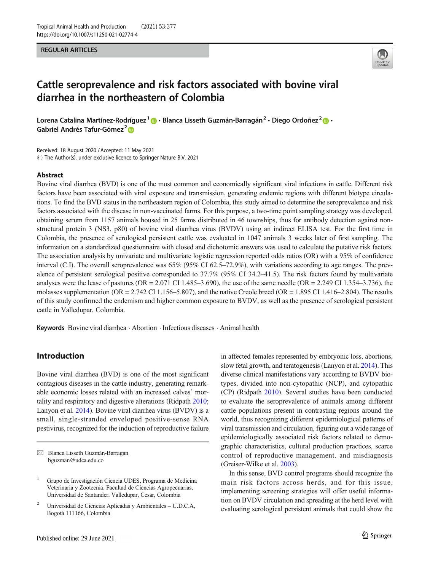REGULAR ARTICLES



# Cattle seroprevalence and risk factors associated with bovine viral diarrhea in the northeastern of Colombia

Lorena Catalina Martínez-Rodríguez<sup>1</sup> **a** · Blanca Lisseth Guzmán-Barragán<sup>2</sup> · Diego Ordoñez<sup>2</sup> **a** · Gabriel Andrés Tafur-Gómez<sup>2</sup>

Received: 18 August 2020 /Accepted: 11 May 2021  $\circled{C}$  The Author(s), under exclusive licence to Springer Nature B.V. 2021

#### Abstract

Bovine viral diarrhea (BVD) is one of the most common and economically significant viral infections in cattle. Different risk factors have been associated with viral exposure and transmission, generating endemic regions with different biotype circulations. To find the BVD status in the northeastern region of Colombia, this study aimed to determine the seroprevalence and risk factors associated with the disease in non-vaccinated farms. For this purpose, a two-time point sampling strategy was developed, obtaining serum from 1157 animals housed in 25 farms distributed in 46 townships, thus for antibody detection against nonstructural protein 3 (NS3, p80) of bovine viral diarrhea virus (BVDV) using an indirect ELISA test. For the first time in Colombia, the presence of serological persistent cattle was evaluated in 1047 animals 3 weeks later of first sampling. The information on a standardized questionnaire with closed and dichotomic answers was used to calculate the putative risk factors. The association analysis by univariate and multivariate logistic regression reported odds ratios (OR) with a 95% of confidence interval (C.I). The overall seroprevalence was 65% (95% CI 62.5–72.9%), with variations according to age ranges. The prevalence of persistent serological positive corresponded to 37.7% (95% CI 34.2–41.5). The risk factors found by multivariate analyses were the lease of pastures (OR = 2.071 CI 1.485–3.690), the use of the same needle (OR = 2.249 CI 1.354–3.736), the molasses supplementation ( $OR = 2.742$  CI 1.156–5.807), and the native Creole breed ( $OR = 1.895$  CI 1.416–2.804). The results of this study confirmed the endemism and higher common exposure to BVDV, as well as the presence of serological persistent cattle in Valledupar, Colombia.

Keywords Bovine viral diarrhea . Abortion . Infectious diseases . Animal health

# Introduction

Bovine viral diarrhea (BVD) is one of the most significant contagious diseases in the cattle industry, generating remarkable economic losses related with an increased calves' mortality and respiratory and digestive alterations (Ridpath [2010](#page-6-0); Lanyon et al. [2014](#page-5-0)). Bovine viral diarrhea virus (BVDV) is a small, single-stranded enveloped positive-sense RNA pestivirus, recognized for the induction of reproductive failure

 $\boxtimes$  Blanca Lisseth Guzmán-Barragán [bguzman@udca.edu.co](mailto:bguzman@udca.edu.co)

in affected females represented by embryonic loss, abortions, slow fetal growth, and teratogenesis (Lanyon et al. [2014\)](#page-5-0). This diverse clinical manifestations vary according to BVDV biotypes, divided into non-cytopathic (NCP), and cytopathic (CP) (Ridpath [2010](#page-6-0)). Several studies have been conducted to evaluate the seroprevalence of animals among different cattle populations present in contrasting regions around the world, thus recognizing different epidemiological patterns of viral transmission and circulation, figuring out a wide range of epidemiologically associated risk factors related to demographic characteristics, cultural production practices, scarce control of reproductive management, and misdiagnosis (Greiser-Wilke et al. [2003](#page-5-0)).

In this sense, BVD control programs should recognize the main risk factors across herds, and for this issue, implementing screening strategies will offer useful information on BVDV circulation and spreading at the herd level with evaluating serological persistent animals that could show the

<sup>&</sup>lt;sup>1</sup> Grupo de Investigación Ciencia UDES, Programa de Medicina Veterinaria y Zootecnia, Facultad de Ciencias Agropecuarias, Universidad de Santander, Valledupar, Cesar, Colombia

<sup>2</sup> Universidad de Ciencias Aplicadas y Ambientales – U.D.C.A, Bogotá 111166, Colombia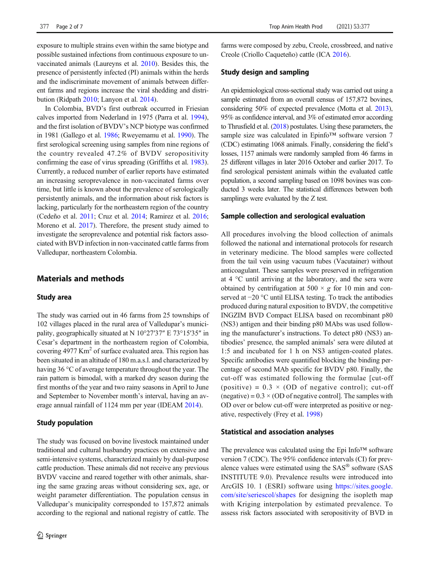exposure to multiple strains even within the same biotype and possible sustained infections from continuous exposure to unvaccinated animals (Laureyns et al. [2010\)](#page-5-0). Besides this, the presence of persistently infected (PI) animals within the herds and the indiscriminate movement of animals between different farms and regions increase the viral shedding and distribution (Ridpath [2010;](#page-6-0) Lanyon et al. [2014](#page-5-0)).

In Colombia, BVD's first outbreak occurred in Friesian calves imported from Nederland in 1975 (Parra et al. [1994\)](#page-6-0), and the first isolation of BVDV's NCP biotype was confirmed in 1981 (Gallego et al. [1986](#page-5-0); Rweyemamu et al. [1990](#page-6-0)). The first serological screening using samples from nine regions of the country revealed 47.2% of BVDV seropositivity confirming the ease of virus spreading (Griffiths et al. [1983\)](#page-5-0). Currently, a reduced number of earlier reports have estimated an increasing seroprevalence in non-vaccinated farms over time, but little is known about the prevalence of serologically persistently animals, and the information about risk factors is lacking, particularly for the northeastern region of the country (Cedeño et al. [2011](#page-5-0); Cruz et al. [2014](#page-5-0); Ramirez et al. [2016](#page-6-0); Moreno et al. [2017\)](#page-5-0). Therefore, the present study aimed to investigate the seroprevalence and potential risk factors associated with BVD infection in non-vaccinated cattle farms from Valledupar, northeastern Colombia.

# Materials and methods

#### Study area

The study was carried out in 46 farms from 25 townships of 102 villages placed in the rural area of Valledupar's municipality, geographically situated at N 10°27′37″ E 73°15′35″ in Cesar's department in the northeastern region of Colombia, covering  $4977 \text{ Km}^2$  of surface evaluated area. This region has been situated in an altitude of 180 m.a.s.l. and characterized by having 36 °C of average temperature throughout the year. The rain pattern is bimodal, with a marked dry season during the first months of the year and two rainy seasons in April to June and September to November month's interval, having an average annual rainfall of 1124 mm per year (IDEAM [2014\)](#page-5-0).

### Study population

The study was focused on bovine livestock maintained under traditional and cultural husbandry practices on extensive and semi-intensive systems, characterized mainly by dual-purpose cattle production. These animals did not receive any previous BVDV vaccine and reared together with other animals, sharing the same grazing areas without considering sex, age, or weight parameter differentiation. The population census in Valledupar's municipality corresponded to 157,872 animals according to the regional and national registry of cattle. The

farms were composed by zebu, Creole, crossbreed, and native Creole (Criollo Caqueteño) cattle (ICA [2016](#page-5-0)).

#### Study design and sampling

An epidemiological cross-sectional study was carried out using a sample estimated from an overall census of 157,872 bovines, considering 50% of expected prevalence (Motta et al. [2013\)](#page-6-0), 95% as confidence interval, and 3% of estimated error according to Thrusfield et al. [\(2018\)](#page-6-0) postulates. Using these parameters, the sample size was calculated in Epinfo™ software version 7 (CDC) estimating 1068 animals. Finally, considering the field's losses, 1157 animals were randomly sampled from 46 farms in 25 different villages in later 2016 October and earlier 2017. To find serological persistent animals within the evaluated cattle population, a second sampling based on 1098 bovines was conducted 3 weeks later. The statistical differences between both samplings were evaluated by the Z test.

#### Sample collection and serological evaluation

All procedures involving the blood collection of animals followed the national and international protocols for research in veterinary medicine. The blood samples were collected from the tail vein using vacuum tubes (Vacutainer) without anticoagulant. These samples were preserved in refrigeration at 4 °C until arriving at the laboratory, and the sera were obtained by centrifugation at  $500 \times g$  for 10 min and conserved at −20 °C until ELISA testing. To track the antibodies produced during natural exposition to BVDV, the competitive INGZIM BVD Compact ELISA based on recombinant p80 (NS3) antigen and their binding p80 MAbs was used following the manufacturer's instructions. To detect p80 (NS3) antibodies' presence, the sampled animals' sera were diluted at 1:5 and incubated for 1 h on NS3 antigen-coated plates. Specific antibodies were quantified blocking the binding percentage of second MAb specific for BVDV p80. Finally, the cut-off was estimated following the formulae [cut-off (positive) =  $0.3 \times (OD \text{ of negative control})$ ; cut-off (negative) =  $0.3 \times (OD)$  of negative control]. The samples with OD over or below cut-off were interpreted as positive or negative, respectively (Frey et al. [1998\)](#page-5-0)

#### Statistical and association analyses

The prevalence was calculated using the Epi Info™ software version 7 (CDC). The 95% confidence intervals (CI) for prevalence values were estimated using the SAS® software (SAS INSTITUTE 9.0). Prevalence results were introduced into ArcGIS 10. 1 (ESRI) software using [https://sites.google.](https://sites.google.com/site/seriescol/shapes) [com/site/seriescol/shapes](https://sites.google.com/site/seriescol/shapes) for designing the isopleth map with Kriging interpolation by estimated prevalence. To assess risk factors associated with seropositivity of BVD in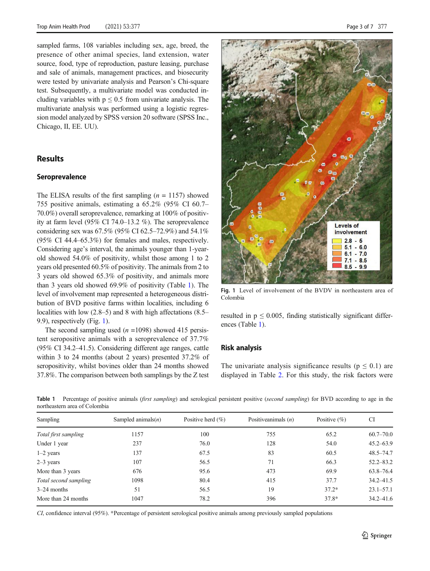sampled farms, 108 variables including sex, age, breed, the presence of other animal species, land extension, water source, food, type of reproduction, pasture leasing, purchase and sale of animals, management practices, and biosecurity were tested by univariate analysis and Pearson's Chi-square test. Subsequently, a multivariate model was conducted including variables with  $p \leq 0.5$  from univariate analysis. The multivariate analysis was performed using a logistic regression model analyzed by SPSS version 20 software (SPSS Inc., Chicago, II, EE. UU).

# **Results**

## Seroprevalence

The ELISA results of the first sampling  $(n = 1157)$  showed 755 positive animals, estimating a 65.2% (95% CI 60.7– 70.0%) overall seroprevalence, remarking at 100% of positivity at farm level (95% CI 74.0–13.2 %). The seroprevalence considering sex was 67.5% (95% CI 62.5–72.9%) and 54.1% (95% CI 44.4–65.3%) for females and males, respectively. Considering age's interval, the animals younger than 1-yearold showed 54.0% of positivity, whilst those among 1 to 2 years old presented 60.5% of positivity. The animals from 2 to 3 years old showed 65.3% of positivity, and animals more than 3 years old showed 69.9% of positivity (Table 1). The level of involvement map represented a heterogeneous distribution of BVD positive farms within localities, including 6 localities with low (2.8–5) and 8 with high affectations (8.5– 9.9), respectively (Fig. 1).

The second sampling used  $(n = 1098)$  showed 415 persistent seropositive animals with a seroprevalence of 37.7% (95% CI 34.2–41.5). Considering different age ranges, cattle within 3 to 24 months (about 2 years) presented 37.2% of seropositivity, whilst bovines older than 24 months showed 37.8%. The comparison between both samplings by the Z test



Fig. 1 Level of involvement of the BVDV in northeastern area of Colombia

resulted in  $p \leq 0.005$ , finding statistically significant differences (Table 1).

#### Risk analysis

The univariate analysis significance results ( $p \le 0.1$ ) are displayed in Table [2.](#page-3-0) For this study, the risk factors were

Table 1 Percentage of positive animals (first sampling) and serological persistent positive (second sampling) for BVD according to age in the northeastern area of Colombia

| Sampling              | Sampled animals $(n)$ | Positive herd $(\% )$ | Positive animals $(n)$ | Positive $(\% )$ | <b>CI</b>     |
|-----------------------|-----------------------|-----------------------|------------------------|------------------|---------------|
| Total first sampling  | 1157                  | 100                   | 755                    | 65.2             | $60.7 - 70.0$ |
| Under 1 year          | 237                   | 76.0                  | 128                    | 54.0             | $45.2 - 63.9$ |
| $1-2$ years           | 137                   | 67.5                  | 83                     | 60.5             | $48.5 - 74.7$ |
| $2-3$ years           | 107                   | 56.5                  | 71                     | 66.3             | $52.2 - 83.2$ |
| More than 3 years     | 676                   | 95.6                  | 473                    | 69.9             | $63.8 - 76.4$ |
| Total second sampling | 1098                  | 80.4                  | 415                    | 37.7             | $34.2 - 41.5$ |
| $3-24$ months         | 51                    | 56.5                  | 19                     | $37.2*$          | $23.1 - 57.1$ |
| More than 24 months   | 1047                  | 78.2                  | 396                    | $37.8*$          | $34.2 - 41.6$ |
|                       |                       |                       |                        |                  |               |

CI, confidence interval (95%). \*Percentage of persistent serological positive animals among previously sampled populations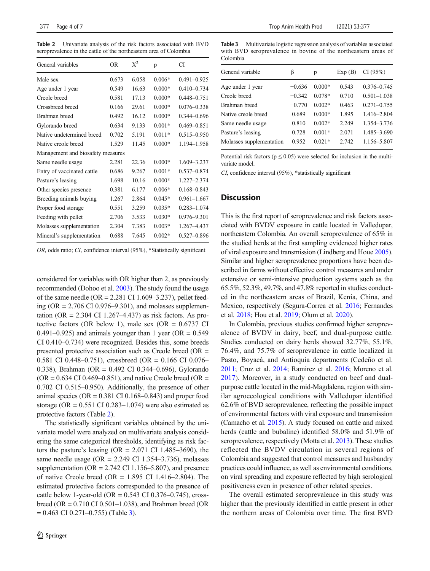<span id="page-3-0"></span>Table 2 Univariate analysis of the risk factors associated with BVD seroprevalence in the cattle of the northeastern area of Colombia

| General variables                 | OR.   | $X^2$ | p        | СI              |  |  |
|-----------------------------------|-------|-------|----------|-----------------|--|--|
| Male sex                          | 0.673 | 6.058 | $0.006*$ | $0.491 - 0.925$ |  |  |
| Age under 1 year                  | 0.549 | 16.63 | $0.000*$ | $0.410 - 0.734$ |  |  |
| Creole breed                      | 0.581 | 17.13 | $0.000*$ | $0.448 - 0.751$ |  |  |
| Crossbreed breed                  | 0.166 | 29.61 | $0.000*$ | $0.076 - 0.338$ |  |  |
| Brahman breed                     | 0.492 | 16.12 | $0.000*$ | $0.344 - 0.696$ |  |  |
| Gylorando breed                   | 0.634 | 9.133 | $0.001*$ | $0.469 - 0.851$ |  |  |
| Native undetermined breed         | 0.702 | 5.191 | $0.011*$ | $0.515 - 0.950$ |  |  |
| Native creole breed               | 1.529 | 11.45 | $0.000*$ | 1.194-1.958     |  |  |
| Management and biosafety measures |       |       |          |                 |  |  |
| Same needle usage                 | 2.281 | 22.36 | $0.000*$ | 1.609-3.237     |  |  |
| Entry of vaccinated cattle        | 0.686 | 9.267 | $0.001*$ | $0.537 - 0.874$ |  |  |
| Pasture's leasing                 | 1.698 | 10.16 | $0.000*$ | 1.227-2.374     |  |  |
| Other species presence            | 0.381 | 6.177 | $0.006*$ | $0.168 - 0.843$ |  |  |
| Breeding animals buying           | 1.267 | 2.864 | $0.045*$ | $0.961 - 1.667$ |  |  |
| Proper food storage               | 0.551 | 3.259 | $0.035*$ | $0.283 - 1.074$ |  |  |
| Feeding with pellet               | 2.706 | 3.533 | $0.030*$ | $0.976 - 9.301$ |  |  |
| Molasses supplementation          | 2.304 | 7.383 | $0.003*$ | 1.267-4.437     |  |  |
| Mineral's supplementation         | 0.688 | 7.645 | $0.002*$ | $0.527 - 0.896$ |  |  |

OR, odds ratio; CI, confidence interval (95%), \*Statistically significant

considered for variables with OR higher than 2, as previously recommended (Dohoo et al. [2003](#page-5-0)). The study found the usage of the same needle (OR =  $2.281$  CI 1.609–3.237), pellet feeding (OR =  $2.706$  CI 0.976–9.301), and molasses supplementation (OR =  $2.304$  CI 1.267–4.437) as risk factors. As protective factors (OR below 1), male sex (OR =  $0.6737$  CI 0.491–0.925) and animals younger than 1 year (OR =  $0.549$ ) CI 0.410–0.734) were recognized. Besides this, some breeds presented protective association such as Creole breed (OR = 0.581 CI 0.448–0.751), crossbreed (OR = 0.166 CI 0.076– 0.338), Brahman (OR = 0.492 CI 0.344–0.696), Gylorando  $(OR = 0.634 \text{ CI } 0.469 - 0.851)$ , and native Creole breed  $(OR = 0.634 \text{ CI } 0.469 - 0.851)$ 0.702 CI 0.515–0.950). Additionally, the presence of other animal species ( $OR = 0.381$  CI 0.168–0.843) and proper food storage (OR =  $0.551$  CI 0.283–1.074) were also estimated as protective factors (Table 2).

The statistically significant variables obtained by the univariate model were analyzed on multivariate analysis considering the same categorical thresholds, identifying as risk factors the pasture's leasing (OR =  $2.071$  CI 1.485–3690), the same needle usage (OR =  $2.249$  CI 1.354–3.736), molasses supplementation ( $OR = 2.742$  CI 1.156–5.807), and presence of native Creole breed (OR =  $1.895$  CI 1.416–2.804). The estimated protective factors corresponded to the presence of cattle below 1-year-old (OR =  $0.543$  CI 0.376–0.745), crossbreed (OR = 0.710 CI 0.501–1.038), and Brahman breed (OR  $= 0.463$  CI 0.271–0.755) (Table 3).

Table 3 Multivariate logistic regression analysis of variables associated with BVD seroprevalence in bovine of the northeastern areas of Colombia

| General variable         | ß        | p        | Exp(B) | CI(95%)         |
|--------------------------|----------|----------|--------|-----------------|
| Age under 1 year         | $-0.636$ | $0.000*$ | 0.543  | $0.376 - 0.745$ |
| Creole breed             | $-0.342$ | $0.078*$ | 0.710  | $0.501 - 1.038$ |
| Brahman breed            | $-0.770$ | $0.002*$ | 0.463  | $0.271 - 0.755$ |
| Native creole breed      | 0.689    | $0.000*$ | 1.895  | 1.416-2.804     |
| Same needle usage        | 0.810    | $0.002*$ | 2.249  | 1.354-3.736     |
| Pasture's leasing        | 0.728    | $0.001*$ | 2.071  | 1.485-3.690     |
| Molasses supplementation | 0.952    | $0.021*$ | 2.742  | 1.156-5.807     |
|                          |          |          |        |                 |

Potential risk factors ( $p \le 0.05$ ) were selected for inclusion in the multivariate model.

CI, confidence interval (95%), \*statistically significant

## **Discussion**

This is the first report of seroprevalence and risk factors associated with BVDV exposure in cattle located in Valledupar, northeastern Colombia. An overall seroprevalence of 65% in the studied herds at the first sampling evidenced higher rates of viral exposure and transmission (Lindberg and Houe [2005\)](#page-5-0). Similar and higher seroprevalence proportions have been described in farms without effective control measures and under extensive or semi-intensive production systems such as the 65.5%, 52.3%, 49.7%, and 47.8% reported in studies conducted in the northeastern areas of Brazil, Kenia, China, and Mexico, respectively (Segura-Correa et al. [2016](#page-6-0); Fernandes et al. [2018](#page-5-0); Hou et al. [2019](#page-5-0); Olum et al. [2020](#page-6-0)).

In Colombia, previous studies confirmed higher seroprevalence of BVDV in dairy, beef, and dual-purpose cattle. Studies conducted on dairy herds showed 32.77%, 55.1%, 76.4%, and 75.7% of seroprevalence in cattle localized in Pasto, Boyacá, and Antioquia departments (Cedeño et al. [2011;](#page-5-0) Cruz et al. [2014;](#page-5-0) Ramirez et al. [2016](#page-6-0); Moreno et al. [2017](#page-5-0)). Moreover, in a study conducted on beef and dualpurpose cattle located in the mid-Magdalena, region with similar agroecological conditions with Valledupar identified 62.6% of BVD seroprevalence, reflecting the possible impact of environmental factors with viral exposure and transmission (Camacho et al. [2015\)](#page-5-0). A study focused on cattle and mixed herds (cattle and bubaline) identified 58.0% and 51.9% of seroprevalence, respectively (Motta et al. [2013\)](#page-6-0). These studies reflected the BVDV circulation in several regions of Colombia and suggested that control measures and husbandry practices could influence, as well as environmental conditions, on viral spreading and exposure reflected by high serological positiveness even in presence of other related species.

The overall estimated seroprevalence in this study was higher than the previously identified in cattle present in other the northern areas of Colombia over time. The first BVD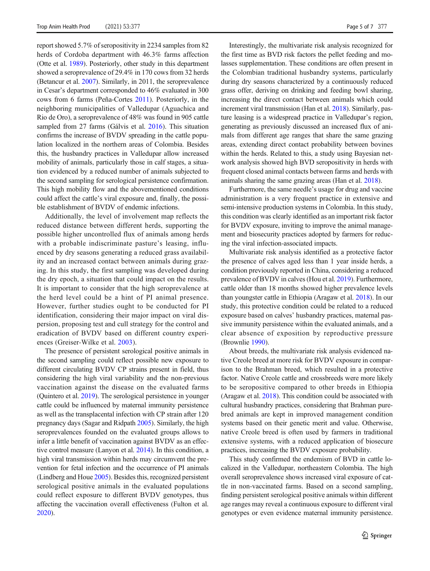report showed 5.7% of seropositivity in 2234 samples from 82 herds of Cordoba department with 46.3% farms affection (Otte et al. [1989](#page-6-0)). Posteriorly, other study in this department showed a seroprevalence of 29.4% in 170 cows from 32 herds (Betancur et al. [2007\)](#page-5-0). Similarly, in 2011, the seroprevalence in Cesar's department corresponded to 46% evaluated in 300 cows from 6 farms (Peña-Cortes [2011](#page-6-0)). Posteriorly, in the neighboring municipalities of Valledupar (Aguachica and Rio de Oro), a seroprevalence of 48% was found in 905 cattle sampled from 27 farms (Gálvis et al. [2016](#page-5-0)). This situation confirms the increase of BVDV spreading in the cattle population localized in the northern areas of Colombia. Besides this, the husbandry practices in Valledupar allow increased mobility of animals, particularly those in calf stages, a situation evidenced by a reduced number of animals subjected to the second sampling for serological persistence confirmation. This high mobility flow and the abovementioned conditions could affect the cattle's viral exposure and, finally, the possible establishment of BVDV of endemic infections.

Additionally, the level of involvement map reflects the reduced distance between different herds, supporting the possible higher uncontrolled flux of animals among herds with a probable indiscriminate pasture's leasing, influenced by dry seasons generating a reduced grass availability and an increased contact between animals during grazing. In this study, the first sampling was developed during the dry epoch, a situation that could impact on the results. It is important to consider that the high seroprevalence at the herd level could be a hint of PI animal presence. However, further studies ought to be conducted for PI identification, considering their major impact on viral dispersion, proposing test and cull strategy for the control and eradication of BVDV based on different country experiences (Greiser-Wilke et al. [2003\)](#page-5-0).

The presence of persistent serological positive animals in the second sampling could reflect possible new exposure to different circulating BVDV CP strains present in field, thus considering the high viral variability and the non-previous vaccination against the disease on the evaluated farms (Quintero et al. [2019\)](#page-6-0). The serological persistence in younger cattle could be influenced by maternal immunity persistence as well as the transplacental infection with CP strain after 120 pregnancy days (Sagar and Ridpath [2005\)](#page-6-0). Similarly, the high seroprevalences founded on the evaluated groups allows to infer a little benefit of vaccination against BVDV as an effective control measure (Lanyon et al. [2014](#page-5-0)). In this condition, a high viral transmission within herds may circumvent the prevention for fetal infection and the occurrence of PI animals (Lindberg and Houe [2005](#page-5-0)). Besides this, recognized persistent serological positive animals in the evaluated populations could reflect exposure to different BVDV genotypes, thus affecting the vaccination overall effectiveness (Fulton et al. [2020\)](#page-5-0).

Interestingly, the multivariate risk analysis recognized for the first time as BVD risk factors the pellet feeding and molasses supplementation. These conditions are often present in the Colombian traditional husbandry systems, particularly during dry seasons characterized by a continuously reduced grass offer, deriving on drinking and feeding bowl sharing, increasing the direct contact between animals which could increment viral transmission (Han et al. [2018\)](#page-5-0). Similarly, pasture leasing is a widespread practice in Valledupar's region, generating as previously discussed an increased flux of animals from different age ranges that share the same grazing areas, extending direct contact probability between bovines within the herds. Related to this, a study using Bayesian network analysis showed high BVD seropositivity in herds with frequent closed animal contacts between farms and herds with animals sharing the same grazing areas (Han et al. [2018](#page-5-0)).

Furthermore, the same needle's usage for drug and vaccine administration is a very frequent practice in extensive and semi-intensive production systems in Colombia. In this study, this condition was clearly identified as an important risk factor for BVDV exposure, inviting to improve the animal management and biosecurity practices adopted by farmers for reducing the viral infection-associated impacts.

Multivariate risk analysis identified as a protective factor the presence of calves aged less than 1 year inside herds, a condition previously reported in China, considering a reduced prevalence of BVDV in calves (Hou et al. [2019](#page-5-0)). Furthermore, cattle older than 18 months showed higher prevalence levels than youngster cattle in Ethiopia (Aragaw et al. [2018](#page-5-0)). In our study, this protective condition could be related to a reduced exposure based on calves' husbandry practices, maternal passive immunity persistence within the evaluated animals, and a clear absence of exposition by reproductive pressure (Brownlie [1990\)](#page-5-0).

About breeds, the multivariate risk analysis evidenced native Creole breed at more risk for BVDV exposure in comparison to the Brahman breed, which resulted in a protective factor. Native Creole cattle and crossbreeds were more likely to be seropositive compared to other breeds in Ethiopia (Aragaw et al. [2018\)](#page-5-0). This condition could be associated with cultural husbandry practices, considering that Brahman purebred animals are kept in improved management condition systems based on their genetic merit and value. Otherwise, native Creole breed is often used by farmers in traditional extensive systems, with a reduced application of biosecure practices, increasing the BVDV exposure probability.

This study confirmed the endemism of BVD in cattle localized in the Valledupar, northeastern Colombia. The high overall seroprevalence shows increased viral exposure of cattle in non-vaccinated farms. Based on a second sampling, finding persistent serological positive animals within different age ranges may reveal a continuous exposure to different viral genotypes or even evidence maternal immunity persistence.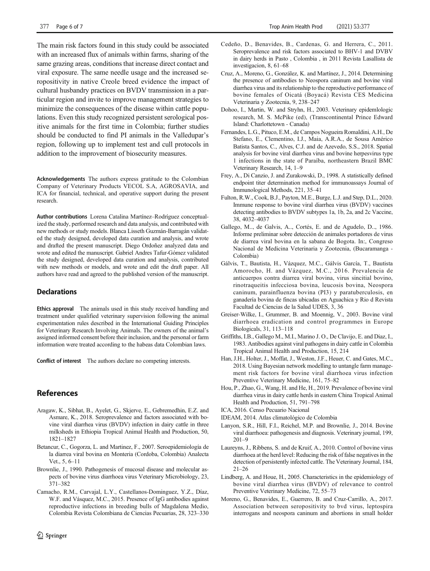<span id="page-5-0"></span>The main risk factors found in this study could be associated with an increased flux of animals within farms, sharing of the same grazing areas, conditions that increase direct contact and viral exposure. The same needle usage and the increased seropositivity in native Creole breed evidence the impact of cultural husbandry practices on BVDV transmission in a particular region and invite to improve management strategies to minimize the consequences of the disease within cattle populations. Even this study recognized persistent serological positive animals for the first time in Colombia; further studies should be conducted to find PI animals in the Valledupar's region, following up to implement test and cull protocols in addition to the improvement of biosecurity measures.

Acknowledgements The authors express gratitude to the Colombian Company of Veterinary Products VECOL S.A, AGROSAVIA, and ICA for financial, technical, and operative support during the present research.

Author contributions Lorena Catalina Martínez–Rodríguez conceptualized the study, performed research and data analysis, and contributed with new methods or study models. Blanca Lisseth Guzmán-Barragán validated the study designed, developed data curation and analysis, and wrote and drafted the present manuscript. Diego Ordoñez analyzed data and wrote and edited the manuscript. Gabriel Andres Tafur-Gómez validated the study designed, developed data curation and analysis, contributed with new methods or models, and wrote and edit the draft paper. All authors have read and agreed to the published version of the manuscript.

## **Declarations**

Ethics approval The animals used in this study received handling and treatment under qualified veterinary supervision following the animal experimentation rules described in the International Guiding Principles for Veterinary Research Involving Animals. The owners of the animal's assigned informed consent before their inclusion, and the personal or farm information were treated according to the habeas data Colombian laws.

Conflict of interest The authors declare no competing interests.

## References

- Aragaw, K., Sibhat, B., Ayelet, G., Skjerve, E., Gebremedhin, E.Z. and Asmare, K., 2018. Seroprevalence and factors associated with bovine viral diarrhea virus (BVDV) infection in dairy cattle in three milksheds in Ethiopia Tropical Animal Health and Production, 50, 1821–1827
- Betancur, C., Gogorza, L. and Martinez, F., 2007. Seroepidemiología de la diarrea viral bovina en Monteria (Cordoba, Colombia) Analecta Vet., 5, 6–11
- Brownlie, J., 1990. Pathogenesis of mucosal disease and molecular aspects of bovine virus diarrhoea virus Veterinary Microbiology, 23, 371–382
- Camacho, R.M., Carvajal, L.Y., Castellanos-Dominguez, Y.Z., Díaz, W.F. and Vásquez, M.C., 2015. Presence of IgG antibodies against reproductive infections in breeding bulls of Magdalena Medio, Colombia Revista Colombiana de Ciencias Pecuarias, 28, 323–330
- Cedeño, D., Benavides, B., Cardenas, G. and Herrera, C., 2011. Seroprevalence and risk factors associated to BHV-1 and DVBV in dairy herds in Pasto , Colombia , in 2011 Revista Lasallista de investigacion, 8, 61–68
- Cruz, A., Moreno, G., González, K. and Martínez, J., 2014. Determining the presence of antibodies to Neospora caninum and bovine viral diarrhea virus and its relationship to the reproductive performance of bovine females of Oicatá (Boyacá) Revista CES Medicina Veterinaria y Zootecnia, 9, 238–247
- Dohoo, I., Martin, W. and Stryhn, H., 2003. Veterinary epidemlologic research, M. S. McPike (ed), (Transcontinental Prince Edward Island: Charlottetown - Canada)
- Fernandes, L.G., Pituco, E.M., de Campos Nogueira Romaldini, A.H., De Stefano, E., Clementino, I.J., Maia, A.R.A., de Sousa Américo Batista Santos, C., Alves, C.J. and de Azevedo, S.S., 2018. Spatial analysis for bovine viral diarrhea virus and bovine herpesvirus type 1 infections in the state of Paraíba, northeastern Brazil BMC Veterinary Research, 14, 1–9
- Frey, A., Di Canzio, J. and Zurakowski, D., 1998. A statistically defined endpoint titer determination method for immunoassays Journal of Immunological Methods, 221, 35–41
- Fulton, R.W., Cook, B.J., Payton, M.E., Burge, L.J. and Step, D.L., 2020. Immune response to bovine viral diarrhea virus (BVDV) vaccines detecting antibodies to BVDV subtypes 1a, 1b, 2a, and 2c Vaccine, 38, 4032–4037
- Gallego, M.., de Galvis, A.., Cortés, E. and de Agudelo, D.., 1986. Informe preliminar sobre detección de animales portadores de virus de diarrea viral bovina en la sabana de Bogota. In:, Congreso Nacional de Medicina Veterinaria y Zootecnia, (Bucaramanga - Colombia)
- Gálvis, T., Bautista, H., Vázquez, M.C., Gálvis García, T., Bautista Amorocho, H. and Vázquez, M.C., 2016. Prevalencia de anticuerpos contra diarrea viral bovina, virus sincitial bovino, rinotraqueitis infecciosa bovina, leucosis bovina, Neospora caninum, parainfluenza bovina (PI3) y paratuberculosis, en ganadería bovina de fincas ubicadas en Aguachica y Rio d Revista Facultad de Ciencias de la Salud UDES, 3, 36
- Greiser-Wilke, I., Grummer, B. and Moennig, V., 2003. Bovine viral diarrhoea eradication and control programmes in Europe Biologicals, 31, 113–118
- Griffiths, I.B., Gallego M., M.I., Marino J. O., De Clavijo, E. and Diaz, I., 1983. Antibodies against viral pathogens in dairy cattle in Colombia Tropical Animal Health and Production, 15, 214
- Han, J.H., Holter, J., Moffat, J., Weston, J.F., Heuer, C. and Gates, M.C., 2018. Using Bayesian network modelling to untangle farm management risk factors for bovine viral diarrhoea virus infection Preventive Veterinary Medicine, 161, 75–82
- Hou, P., Zhao, G., Wang, H. and He, H., 2019. Prevalence of bovine viral diarrhea virus in dairy cattle herds in eastern China Tropical Animal Health and Production, 51, 791–798
- ICA, 2016. Censo Pecuario Nacional
- IDEAM, 2014. Atlas climatológico de Colombia
- Lanyon, S.R., Hill, F.I., Reichel, M.P. and Brownlie, J., 2014. Bovine viral diarrhoea: pathogenesis and diagnosis. Veterinary journal, 199, 201–9
- Laureyns, J., Ribbens, S. and de Kruif, A., 2010. Control of bovine virus diarrhoea at the herd level: Reducing the risk of false negatives in the detection of persistently infected cattle. The Veterinary Journal, 184, 21–26
- Lindberg, A. and Houe, H., 2005. Characteristics in the epidemiology of bovine viral diarrhea virus (BVDV) of relevance to control Preventive Veterinary Medicine, 72, 55–73
- Moreno, G., Benavides, E., Guerrero, B. and Cruz-Carrillo, A., 2017. Association between seropositivity to bvd virus, leptospira interrogans and neospora caninum and abortions in small holder